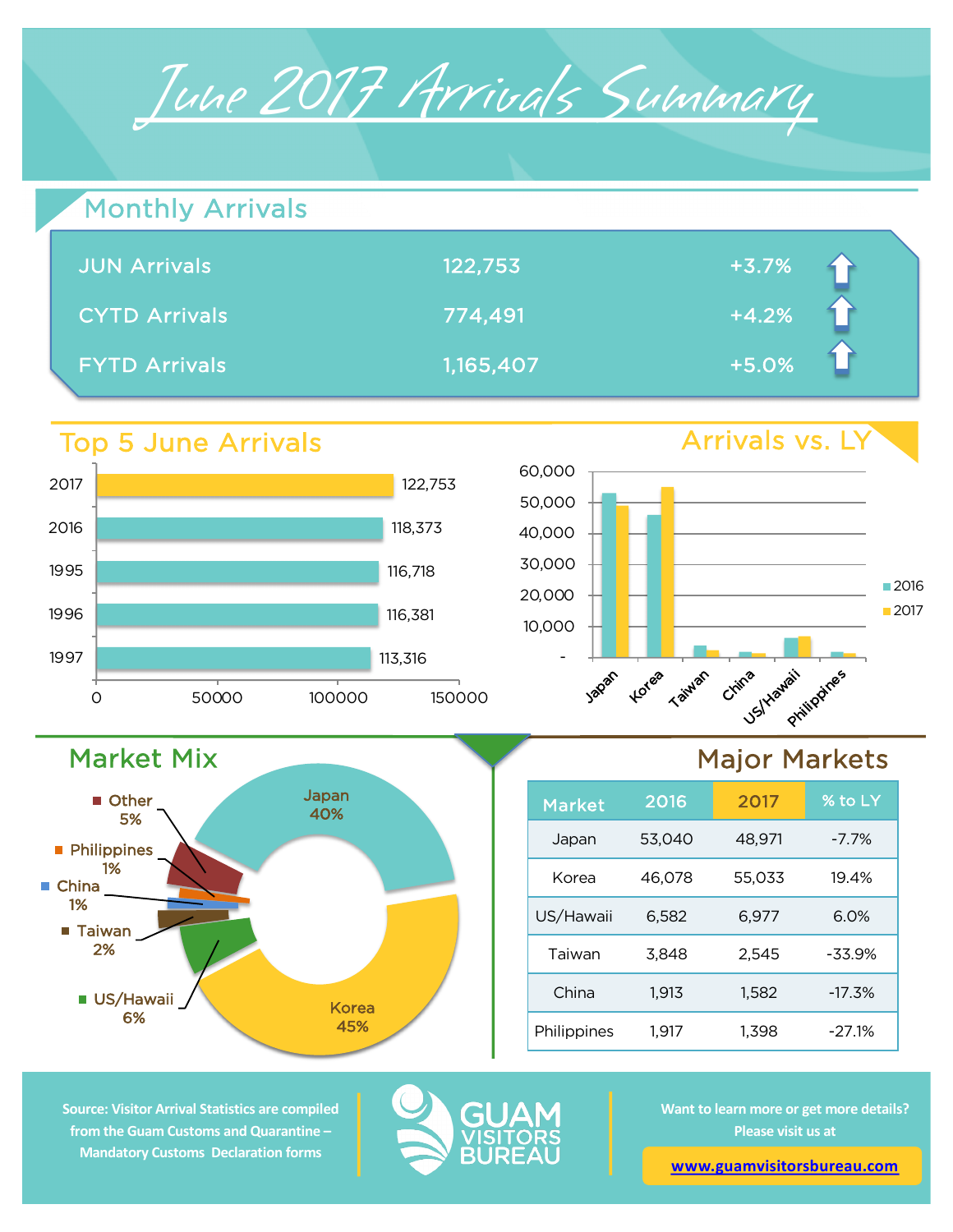

| Monthly Arrivals     |           |         |  |
|----------------------|-----------|---------|--|
| <b>JUN Arrivals</b>  | 122,753   | $+3.7%$ |  |
| <b>CYTD Arrivals</b> | 774,491   | $+4.2%$ |  |
| <b>FYTD Arrivals</b> | 1,165,407 | $+5.0%$ |  |

## Top 5 June Arrivals

Market Mix

**US/Hawaii** 6%

■ Taiwan 2%

**Philippines** 1%

■ Other 5%

■ China 1%



Japan 40%

> Korea 45%



## Major Markets

| <b>Market</b> | 2016   | 2017   | % to LY  |
|---------------|--------|--------|----------|
| Japan         | 53,040 | 48,971 | $-7.7\%$ |
| Korea         | 46,078 | 55.033 | 19.4%    |
| US/Hawaii     | 6,582  | 6,977  | 6.0%     |
| Taiwan        | 3,848  | 2,545  | $-33.9%$ |
| China         | 1,913  | 1,582  | $-17.3%$ |
| Philippines   | 1.917  | 1,398  | $-27.1%$ |

**Source: Visitor Arrival Statistics are compiled from the Guam Customs and Quarantine – Mandatory Customs Declaration forms** 



**Want to learn more or get more details? Please visit us at** 

**www.guamvisitorsbureau.com**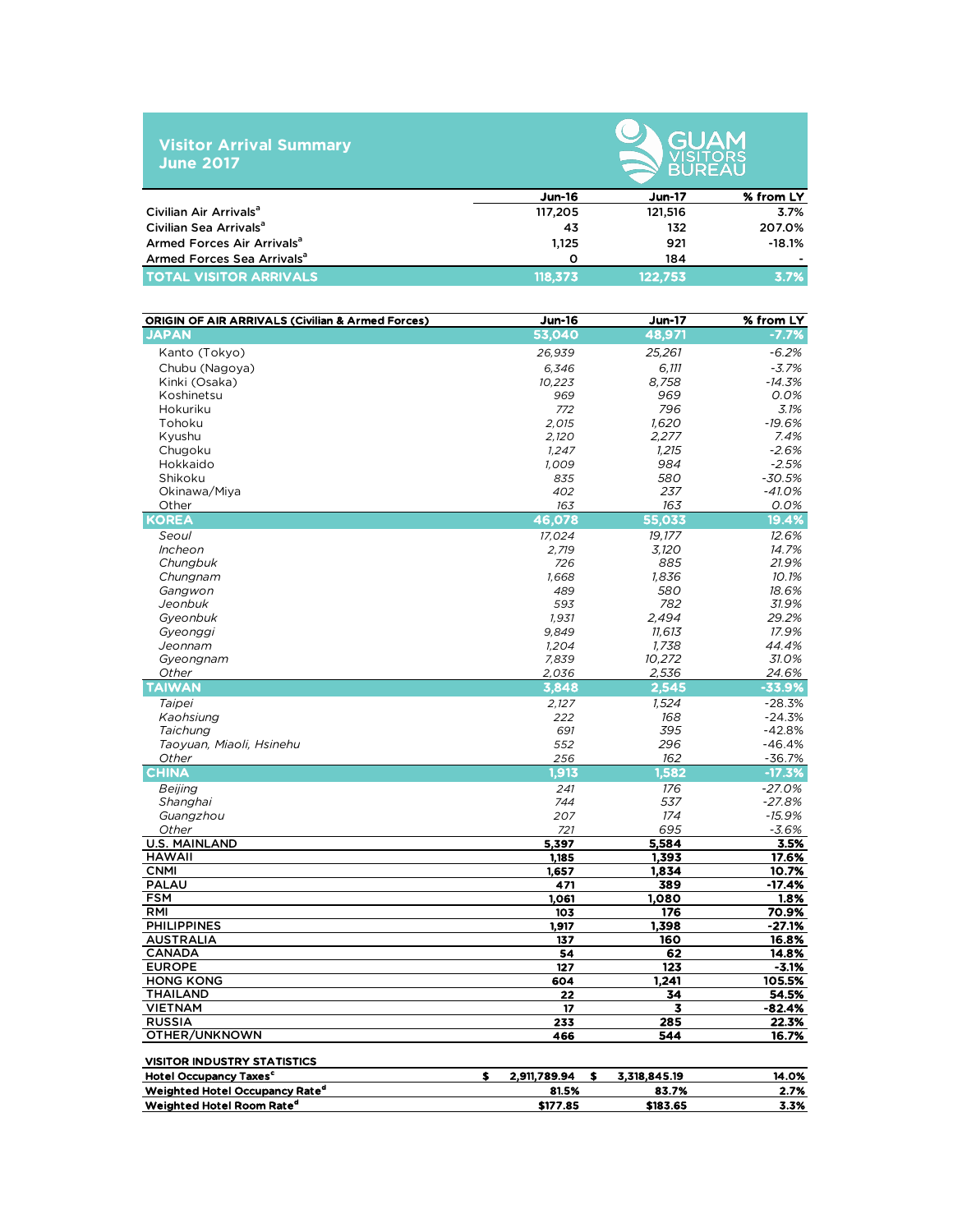|                  | <b>Visitor Arrival Summary</b> |  |
|------------------|--------------------------------|--|
| <b>June 2017</b> |                                |  |



|                                        | $Jun-16$ | <b>Jun-17</b> | % from LY |
|----------------------------------------|----------|---------------|-----------|
| Civilian Air Arrivals <sup>a</sup>     | 117.205  | 121.516       | 3.7%      |
| Civilian Sea Arrivals <sup>a</sup>     | 43       | 132           | 207.0%    |
| Armed Forces Air Arrivals <sup>a</sup> | 1.125    | 921           | $-18.1%$  |
| Armed Forces Sea Arrivals <sup>a</sup> | Ω        | 184           |           |
| <b>TOTAL VISITOR ARRIVALS</b>          | 118.373  | 122.753       | 3.7%      |

| <b>ORIGIN OF AIR ARRIVALS (Civilian &amp; Armed Forces)</b> | <b>Jun-16</b>      | <b>Jun-17</b>    | % from LY        |
|-------------------------------------------------------------|--------------------|------------------|------------------|
| <b>JAPAN</b>                                                | 53.040             | 48,971           | -7.7%            |
| Kanto (Tokyo)                                               | 26,939             | 25,261           | $-6.2%$          |
| Chubu (Nagoya)                                              | 6,346              | 6.111            | $-3.7%$          |
| Kinki (Osaka)                                               | 10,223             | 8,758            | $-14.3%$         |
| Koshinetsu                                                  | 969                | 969              | 0.0%             |
| Hokuriku                                                    | 772                | 796              | 3.1%             |
| Tohoku                                                      | 2,015              | 1,620            | $-19.6%$         |
| Kyushu                                                      | 2,120              | 2,277            | 7.4%             |
| Chugoku                                                     | 1,247              | 1,215            | $-2.6%$          |
| Hokkaido                                                    | 1,009              | 984              | $-2.5%$          |
| Shikoku                                                     | 835                | 580              | $-30.5%$         |
| Okinawa/Miya                                                | 402                | 237              | $-41.0%$         |
| Other                                                       | 163                | 163              | 0.0%             |
| <b>KOREA</b>                                                | 46,078             | 55,033           | 19.4%            |
| Seoul                                                       | 17,024             | 19,177           | 12.6%            |
| Incheon                                                     | 2,719              | 3,120            | 14.7%            |
| Chungbuk                                                    | 726                | 885              | 21.9%            |
| Chungnam                                                    | 1,668              | 1,836            | 10.1%            |
| Gangwon                                                     | 489                | 580              | 18.6%            |
| Jeonbuk                                                     | 593                | 782<br>2,494     | 31.9%<br>29.2%   |
| Gyeonbuk<br>Gyeonggi                                        | 1,931<br>9,849     | 11,613           | 17.9%            |
| Jeonnam                                                     | 1,204              | 1.738            | 44.4%            |
| Gyeongnam                                                   | 7,839              | 10,272           | 31.0%            |
| Other                                                       | 2,036              | 2,536            | 24.6%            |
| <b>TAIWAN</b>                                               | 3,848              | 2,545            | $-33.9%$         |
| Taipei                                                      | 2,127              | 1,524            | $-28.3%$         |
| Kaohsiung                                                   | 222                | 168              | $-24.3%$         |
| Taichung                                                    | 691                | 395              | $-42.8%$         |
| Taoyuan, Miaoli, Hsinehu                                    | 552                | 296              | $-46.4%$         |
| Other                                                       | 256                | 162              | -36.7%           |
| <b>CHINA</b>                                                | 1,913              | 1,582            | $-17.3%$         |
| Beijing                                                     | 241                | 176              | $-27.0%$         |
| Shanghai                                                    | 744                | 537              | $-27.8%$         |
| Guangzhou                                                   | 207                | 174              | $-15.9%$         |
| Other                                                       | 721                | 695              | $-3.6%$          |
| <b>U.S. MAINLAND</b>                                        | 5,397              | 5,584            | 3.5%             |
| <b>HAWAII</b>                                               | 1,185              | 1,393            | 17.6%            |
| <b>CNMI</b>                                                 | 1,657              | 1,834            | 10.7%            |
| <b>PALAU</b><br><b>FSM</b>                                  | 471<br>1,061       | 389<br>1,080     | $-17.4%$<br>1.8% |
| <b>RMI</b>                                                  | 103                | 176              | 70.9%            |
| <b>PHILIPPINES</b>                                          | 1,917              | 1,398            | $-27.1%$         |
| <b>AUSTRALIA</b>                                            | 137                | 160              | 16.8%            |
| <b>CANADA</b>                                               | 54                 | 62               | 14.8%            |
| <b>EUROPE</b>                                               | 127                | $\overline{123}$ | $-3.1%$          |
| <b>HONG KONG</b>                                            | 604                | 1,241            | 105.5%           |
| <b>THAILAND</b>                                             | 22                 | 34               | 54.5%            |
| <b>VIETNAM</b>                                              | 17                 | 3                | $-82.4%$         |
| <b>RUSSIA</b>                                               | 233                | 285              | 22.3%            |
| OTHER/UNKNOWN                                               | 466                | 544              | 16.7%            |
| <b>VISITOR INDUSTRY STATISTICS</b>                          |                    |                  |                  |
| <b>Hotel Occupancy Taxes<sup>c</sup></b><br>\$              | 2.911,789.94<br>\$ | 3,318,845.19     | 14.0%            |
| Weighted Hotel Occupancy Rate <sup>d</sup>                  | 81.5%              | 83.7%            | 2.7%             |
| Weighted Hotel Room Rate <sup>d</sup>                       | \$177.85           | \$183.65         | 3.3%             |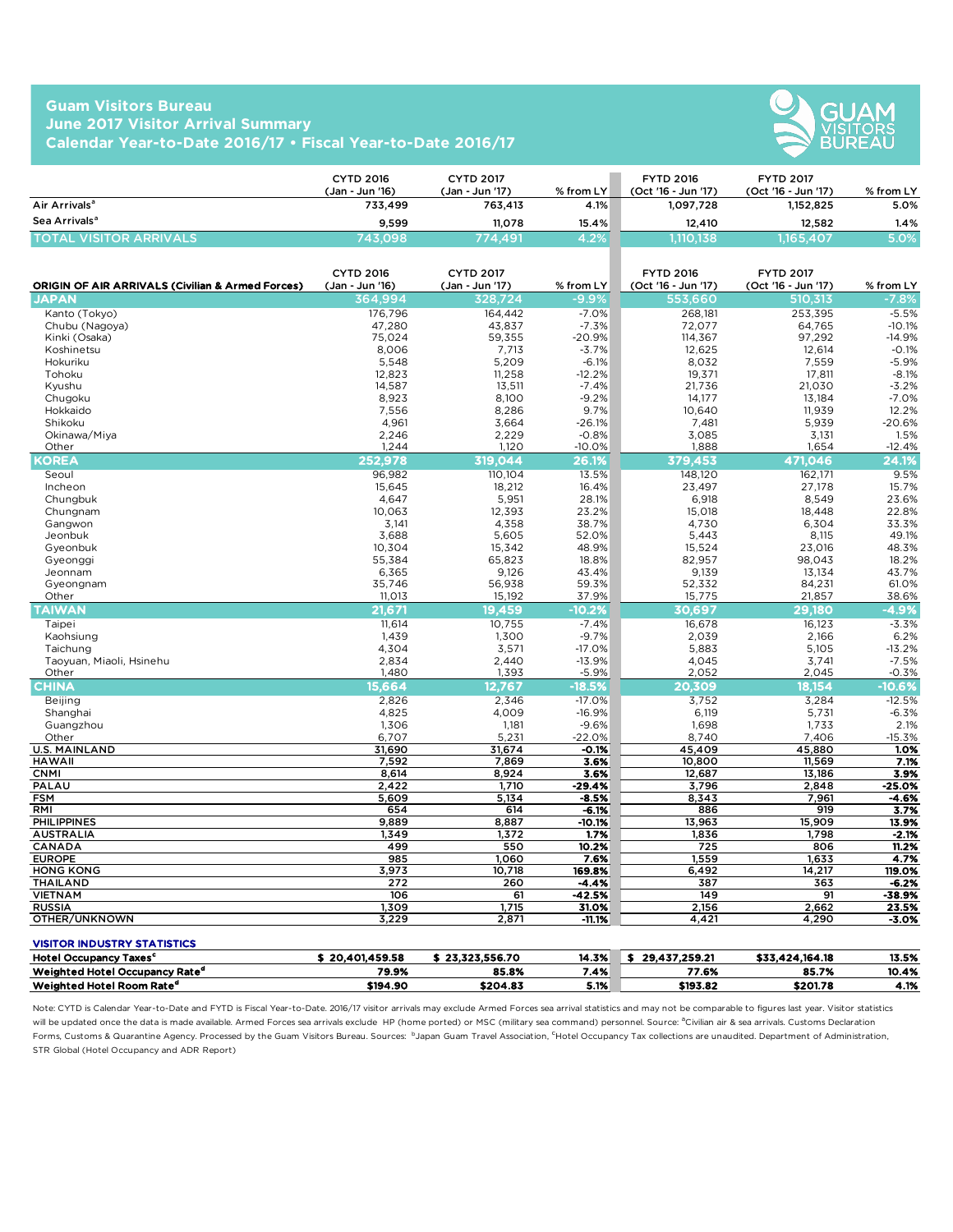## **Guam Visitors Bureau June 2017 Visitor Arrival Summary Calendar Year-to-Date 2016/17 • Fiscal Year-to-Date 2016/17**



|                               | CYTD 2016<br>(Jan - Jun '16) | <b>CYTD 2017</b><br>(Jan - Jun '17) | $%$ from LY | <b>FYTD 2016</b><br>(Oct '16 - Jun '17) | <b>FYTD 2017</b><br>(Oct '16 - Jun '17) | % from LY |
|-------------------------------|------------------------------|-------------------------------------|-------------|-----------------------------------------|-----------------------------------------|-----------|
| Air Arrivals <sup>a</sup>     | 733.499                      | 763,413                             | 4.1%        | 1.097.728                               | 1.152.825                               | 5.0%      |
| Sea Arrivals <sup>a</sup>     | 9.599                        | 11.078                              | 15.4%       | 12,410                                  | 12.582                                  | $1.4\%$   |
| <b>TOTAL VISITOR ARRIVALS</b> | 743.098                      | 774.491                             |             | .110.138                                | 1,165,407                               | 5.0%      |

| <b>ORIGIN OF AIR ARRIVALS (Civilian &amp; Armed Forces)</b> | <b>CYTD 2016</b><br>(Jan - Jun '16) | <b>CYTD 2017</b><br>(Jan - Jun '17) | % from LY      | <b>FYTD 2016</b><br>(Oct '16 - Jun '17) | <b>FYTD 2017</b><br>(Oct '16 - Jun '17) | % from LY      |
|-------------------------------------------------------------|-------------------------------------|-------------------------------------|----------------|-----------------------------------------|-----------------------------------------|----------------|
| <b>JAPAN</b>                                                | 364,994                             | 328.724                             | $-9.9\%$       | 553,660                                 | 510,313                                 | -7.8%          |
| Kanto (Tokyo)                                               | 176,796                             | 164,442                             | $-7.0%$        | 268,181                                 | 253,395                                 | $-5.5%$        |
| Chubu (Nagoya)                                              | 47,280                              | 43,837                              | $-7.3%$        | 72,077                                  | 64,765                                  | $-10.1%$       |
| Kinki (Osaka)                                               | 75,024                              | 59,355                              | $-20.9%$       | 114,367                                 | 97,292                                  | $-14.9%$       |
| Koshinetsu                                                  | 8,006                               | 7,713                               | $-3.7%$        | 12,625                                  | 12,614                                  | $-0.1%$        |
| Hokuriku                                                    | 5,548                               | 5,209                               | $-6.1%$        | 8,032                                   | 7,559                                   | $-5.9%$        |
| Tohoku                                                      | 12,823                              | 11,258                              | $-12.2%$       | 19,371                                  | 17,811                                  | $-8.1%$        |
| Kyushu                                                      | 14,587                              | 13,511                              | $-7.4%$        | 21.736                                  | 21,030                                  | $-3.2%$        |
| Chugoku                                                     | 8,923                               | 8,100                               | $-9.2%$        | 14,177                                  | 13,184                                  | $-7.0%$        |
| Hokkaido                                                    | 7,556                               | 8,286                               | 9.7%           | 10,640                                  | 11,939                                  | 12.2%          |
| Shikoku                                                     | 4,961                               | 3,664                               | $-26.1%$       | 7,481                                   | 5,939                                   | $-20.6%$       |
| Okinawa/Miya                                                | 2,246                               | 2,229                               | $-0.8%$        | 3,085                                   | 3,131                                   | 1.5%           |
| Other                                                       | 1,244                               | 1,120                               | $-10.0%$       | 1,888                                   | 1,654                                   | $-12.4%$       |
| KOREA                                                       | 252.978                             | 319,044                             | 26.1%          | 379,453                                 | 471,046                                 | 24.1%          |
| Seoul                                                       | 96.982                              | 110,104                             | 13.5%          | 148,120                                 | 162,171                                 | 9.5%           |
| Incheon                                                     | 15,645                              | 18,212                              | 16.4%          | 23,497                                  | 27,178                                  | 15.7%          |
| Chungbuk                                                    | 4,647                               | 5,951                               | 28.1%          | 6,918                                   | 8,549                                   | 23.6%          |
| Chungnam                                                    | 10,063                              | 12,393                              | 23.2%          | 15,018                                  | 18,448                                  | 22.8%          |
| Gangwon                                                     | 3,141                               | 4,358                               | 38.7%          | 4,730                                   | 6,304                                   | 33.3%          |
| Jeonbuk                                                     | 3,688                               | 5,605                               | 52.0%          | 5,443                                   | 8,115                                   | 49.1%          |
| Gyeonbuk                                                    | 10,304                              | 15,342                              | 48.9%          | 15,524                                  | 23,016                                  | 48.3%          |
| Gyeonggi                                                    | 55,384                              | 65,823                              | 18.8%          | 82,957                                  | 98,043                                  | 18.2%          |
| Jeonnam                                                     | 6,365                               | 9,126                               | 43.4%          | 9,139                                   | 13,134                                  | 43.7%          |
| Gyeongnam                                                   | 35,746                              | 56,938                              | 59.3%          | 52,332                                  | 84,231                                  | 61.0%          |
| Other                                                       | 11,013                              | 15,192                              | 37.9%          | 15,775                                  | 21,857                                  | 38.6%          |
| <b>TAIWAN</b>                                               | 21,671                              | 19,459                              | $-10.2%$       | 30,697                                  | 29,180                                  | $-4.9%$        |
| Taipei                                                      | 11,614                              | 10,755                              | $-7.4%$        | 16,678                                  | 16,123                                  | $-3.3%$        |
| Kaohsiung                                                   | 1,439                               | 1,300                               | $-9.7%$        | 2,039                                   | 2,166                                   | 6.2%           |
| Taichung                                                    | 4,304                               | 3,571                               | $-17.0%$       | 5,883                                   | 5,105                                   | $-13.2%$       |
| Taoyuan, Miaoli, Hsinehu                                    | 2,834                               | 2,440                               | $-13.9%$       | 4,045                                   | 3,741                                   | $-7.5%$        |
| Other                                                       | 1,480                               | 1,393                               | $-5.9%$        | 2,052                                   | 2,045                                   | $-0.3%$        |
| <b>CHINA</b>                                                | 15,664                              | 12,767                              | $-18.5%$       | 20,309                                  | 18,154                                  | $-10.6%$       |
| Beijing                                                     | 2,826                               | 2,346                               | $-17.0%$       | 3,752                                   | 3,284                                   | $-12.5%$       |
| Shanghai                                                    | 4,825                               | 4,009                               | $-16.9%$       | 6,119                                   | 5,731                                   | $-6.3%$        |
| Guangzhou                                                   | 1,306                               | 1,181                               | $-9.6%$        | 1.698                                   | 1,733                                   | 2.1%           |
| Other                                                       | 6.707                               | 5.231                               | $-22.0%$       | 8.740                                   | 7,406                                   | $-15.3%$       |
| <b>U.S. MAINLAND</b>                                        | 31,690                              | 31,674                              | $-0.1%$        | 45.409                                  | 45,880                                  | 1.0%           |
| <b>HAWAII</b>                                               | 7,592                               | 7,869                               | 3.6%           | 10,800                                  | 11,569                                  | 7.1%           |
| <b>CNMI</b>                                                 | 8,614                               | 8,924                               | 3.6%           | 12,687                                  | 13,186                                  | 3.9%           |
| PALAU                                                       | 2,422                               | 1,710                               | $-29.4%$       | 3,796                                   | 2,848                                   | $-25.0%$       |
| <b>FSM</b>                                                  | 5,609                               | 5,134                               | -8.5%          | 8,343                                   | 7,961                                   | $-4.6%$        |
| RMI                                                         | 654                                 | 614                                 | -6.1%          | 886                                     | 919                                     | 3.7%           |
| <b>PHILIPPINES</b>                                          | 9,889                               | 8,887                               | -10.1%         | 13,963                                  | 15,909                                  | 13.9%          |
| <b>AUSTRALIA</b>                                            | 1,349                               | 1,372                               | 1.7%           | 1,836                                   | 1,798                                   | $-2.1%$        |
| CANADA<br><b>EUROPE</b>                                     | 499                                 | 550<br>1,060                        | 10.2%          | 725                                     | 806                                     | 11.2%          |
| <b>HONG KONG</b>                                            | 985<br>3,973                        | 10,718                              | 7.6%<br>169.8% | 1,559<br>6,492                          | 1,633<br>14,217                         | 4.7%<br>119.0% |
| <b>THAILAND</b>                                             | 272                                 | 260                                 | $-4.4%$        | 387                                     | 363                                     | $-6.2%$        |
| <b>VIETNAM</b>                                              | 106                                 | 61                                  | $-42.5%$       | 149                                     | 91                                      | $-38.9%$       |
| <b>RUSSIA</b>                                               | 1,309                               | 1,715                               | 31.0%          | 2,156                                   | 2,662                                   | 23.5%          |
| OTHER/UNKNOWN                                               | 3,229                               | 2,871                               | $-11.1%$       | 4,421                                   | 4,290                                   | $-3.0%$        |
|                                                             |                                     |                                     |                |                                         |                                         |                |
| <b>VISITOR INDUSTRY STATISTICS</b>                          |                                     |                                     |                |                                         |                                         |                |
| <b>Hotel Occupancy Taxes<sup>c</sup></b>                    | \$20.401.459.58                     | \$23,323,556.70                     | 14.3%          | \$29.437.259.21                         | \$33,424,164.18                         | 13.5%          |

Weighted Hotel Occupancy Rate<sup>d</sup> 79.9% 85.8% 7.4% 77.6% 85.7% 10.4%  $\text{Weighted Hotel Room Rate}^d$   $\text{Rate}^d$   $\text{4.1\%}$ Note: CYTD is Calendar Year-to-Date and FYTD is Fiscal Year-to-Date. 2016/17 visitor arrivals may exclude Armed Forces sea arrival statistics and may not be comparable to figures last year. Visitor statistics

will be updated once the data is made available. Armed Forces sea arrivals exclude HP (home ported) or MSC (military sea command) personnel. Source: <sup>a</sup>Civilian air & sea arrivals. Customs Declaration Forms, Customs & Quarantine Agency. Processed by the Guam Visitors Bureau. Sources: bJapan Guam Travel Association, <sup>c</sup>Hotel Occupancy Tax collections are unaudited. Department of Administration, STR Global (Hotel Occupancy and ADR Report)